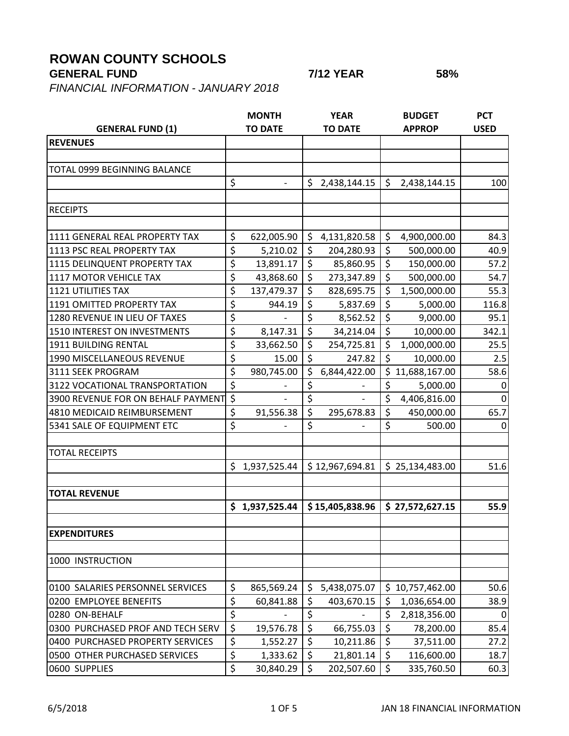## **ROWAN COUNTY SCHOOLS**

## **GENERAL FUND 7/12 YEAR 58%**

*FINANCIAL INFORMATION - JANUARY 2018*

|                                    |                                 | <b>MONTH</b>   |         | <b>YEAR</b>              |         | <b>BUDGET</b>   | <b>PCT</b>  |
|------------------------------------|---------------------------------|----------------|---------|--------------------------|---------|-----------------|-------------|
| <b>GENERAL FUND (1)</b>            |                                 | <b>TO DATE</b> |         | <b>TO DATE</b>           |         | <b>APPROP</b>   | <b>USED</b> |
| <b>REVENUES</b>                    |                                 |                |         |                          |         |                 |             |
|                                    |                                 |                |         |                          |         |                 |             |
| TOTAL 0999 BEGINNING BALANCE       |                                 |                |         |                          |         |                 |             |
|                                    | \$                              |                | \$      | 2,438,144.15             | \$      | 2,438,144.15    | 100         |
|                                    |                                 |                |         |                          |         |                 |             |
| <b>RECEIPTS</b>                    |                                 |                |         |                          |         |                 |             |
|                                    |                                 |                |         |                          |         |                 |             |
| 1111 GENERAL REAL PROPERTY TAX     | \$                              | 622,005.90     | \$      | 4,131,820.58             | \$      | 4,900,000.00    | 84.3        |
| 1113 PSC REAL PROPERTY TAX         | \$                              | 5,210.02       | $\zeta$ | 204,280.93               | \$      | 500,000.00      | 40.9        |
| 1115 DELINQUENT PROPERTY TAX       | \$                              | 13,891.17      | $\zeta$ | 85,860.95                | \$      | 150,000.00      | 57.2        |
| 1117 MOTOR VEHICLE TAX             | \$                              | 43,868.60      | $\zeta$ | 273,347.89               | \$      | 500,000.00      | 54.7        |
| <b>1121 UTILITIES TAX</b>          | $\overline{\boldsymbol{\zeta}}$ | 137,479.37     | \$      | 828,695.75               | \$      | 1,500,000.00    | 55.3        |
| 1191 OMITTED PROPERTY TAX          | \$                              | 944.19         | \$      | 5,837.69                 | \$      | 5,000.00        | 116.8       |
| 1280 REVENUE IN LIEU OF TAXES      | \$                              |                | \$      | 8,562.52                 | \$      | 9,000.00        | 95.1        |
| 1510 INTEREST ON INVESTMENTS       | \$                              | 8,147.31       | \$      | 34,214.04                | \$      | 10,000.00       | 342.1       |
| 1911 BUILDING RENTAL               | \$                              | 33,662.50      | \$      | 254,725.81               | $\zeta$ | 1,000,000.00    | 25.5        |
| 1990 MISCELLANEOUS REVENUE         | \$                              | 15.00          | $\zeta$ | 247.82                   | \$      | 10,000.00       | 2.5         |
| 3111 SEEK PROGRAM                  | \$                              | 980,745.00     | \$      | 6,844,422.00             |         | \$11,688,167.00 | 58.6        |
| 3122 VOCATIONAL TRANSPORTATION     | \$                              |                | \$      |                          | \$      | 5,000.00        | 0           |
| 3900 REVENUE FOR ON BEHALF PAYMENT | \$                              |                | \$      | $\overline{\phantom{a}}$ | \$      | 4,406,816.00    | 0           |
| 4810 MEDICAID REIMBURSEMENT        | \$                              | 91,556.38      | \$      | 295,678.83               | \$      | 450,000.00      | 65.7        |
| 5341 SALE OF EQUIPMENT ETC         | \$                              |                | \$      |                          | \$      | 500.00          | $\Omega$    |
|                                    |                                 |                |         |                          |         |                 |             |
| <b>TOTAL RECEIPTS</b>              |                                 |                |         |                          |         |                 |             |
|                                    |                                 | \$1,937,525.44 |         | \$12,967,694.81          |         | \$25,134,483.00 | 51.6        |
|                                    |                                 |                |         |                          |         |                 |             |
| <b>TOTAL REVENUE</b>               |                                 |                |         |                          |         |                 |             |
|                                    |                                 | \$1,937,525.44 |         | \$15,405,838.96          |         | \$27,572,627.15 | 55.9        |
|                                    |                                 |                |         |                          |         |                 |             |
| <b>EXPENDITURES</b>                |                                 |                |         |                          |         |                 |             |
| 1000 INSTRUCTION                   |                                 |                |         |                          |         |                 |             |
|                                    |                                 |                |         |                          |         |                 |             |
| 0100 SALARIES PERSONNEL SERVICES   | \$                              | 865,569.24     | \$      | 5,438,075.07             |         | \$10,757,462.00 | 50.6        |
| 0200 EMPLOYEE BENEFITS             | \$                              | 60,841.88      | \$      | 403,670.15               | \$      | 1,036,654.00    | 38.9        |
| 0280 ON-BEHALF                     | \$                              |                | \$      |                          | \$      | 2,818,356.00    |             |
| 0300 PURCHASED PROF AND TECH SERV  | $\overline{\xi}$                | 19,576.78      | \$      | 66,755.03                | \$      | 78,200.00       | 85.4        |
| 0400 PURCHASED PROPERTY SERVICES   | \$                              | 1,552.27       | \$      | 10,211.86                | \$      | 37,511.00       | 27.2        |
| 0500 OTHER PURCHASED SERVICES      | \$                              | 1,333.62       | \$      | 21,801.14                | \$      | 116,600.00      | 18.7        |
| 0600 SUPPLIES                      | $\overline{\xi}$                | 30,840.29      | \$      | 202,507.60               | \$      | 335,760.50      | 60.3        |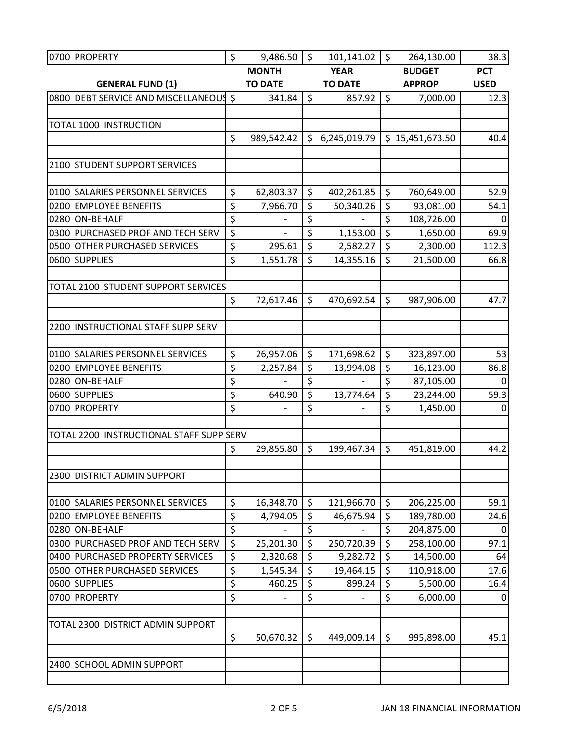| 0700 PROPERTY                            | \$               | 9,486.50              | \$                     | 101,141.02                   | \$                       | 264,130.00             | 38.3         |
|------------------------------------------|------------------|-----------------------|------------------------|------------------------------|--------------------------|------------------------|--------------|
|                                          |                  | <b>MONTH</b>          |                        | <b>YEAR</b>                  |                          | <b>BUDGET</b>          | <b>PCT</b>   |
| <b>GENERAL FUND (1)</b>                  |                  | <b>TO DATE</b>        |                        | <b>TO DATE</b>               |                          | <b>APPROP</b>          | <b>USED</b>  |
| 0800 DEBT SERVICE AND MISCELLANEOUS      |                  | 341.84                | $\zeta$                | 857.92                       | \$                       | 7,000.00               | 12.3         |
|                                          |                  |                       |                        |                              |                          |                        |              |
| TOTAL 1000 INSTRUCTION                   |                  |                       |                        |                              |                          |                        |              |
|                                          | \$               | 989,542.42            | \$                     | 6,245,019.79                 |                          | \$15,451,673.50        | 40.4         |
| 2100 STUDENT SUPPORT SERVICES            |                  |                       |                        |                              |                          |                        |              |
| 0100 SALARIES PERSONNEL SERVICES         |                  |                       |                        |                              | \$                       |                        |              |
| 0200 EMPLOYEE BENEFITS                   | \$<br>\$         | 62,803.37<br>7,966.70 | \$<br>\$               | 402,261.85<br>50,340.26      | \$                       | 760,649.00             | 52.9<br>54.1 |
| 0280 ON-BEHALF                           | \$               | $\overline{a}$        | \$                     | $\qquad \qquad \blacksquare$ | \$                       | 93,081.00              | 0            |
| 0300 PURCHASED PROF AND TECH SERV        | \$               |                       | \$                     | 1,153.00                     | \$                       | 108,726.00<br>1,650.00 | 69.9         |
| 0500 OTHER PURCHASED SERVICES            | $\overline{\xi}$ | 295.61                | \$                     | 2,582.27                     | \$                       |                        | 112.3        |
| 0600 SUPPLIES                            | $\overline{\xi}$ | 1,551.78              | \$                     | 14,355.16                    | \$                       | 2,300.00<br>21,500.00  | 66.8         |
|                                          |                  |                       |                        |                              |                          |                        |              |
| TOTAL 2100 STUDENT SUPPORT SERVICES      |                  |                       |                        |                              |                          |                        |              |
|                                          | \$               | 72,617.46             | \$                     | 470,692.54                   | $\zeta$                  | 987,906.00             | 47.7         |
|                                          |                  |                       |                        |                              |                          |                        |              |
| 2200 INSTRUCTIONAL STAFF SUPP SERV       |                  |                       |                        |                              |                          |                        |              |
| 0100 SALARIES PERSONNEL SERVICES         | \$               | 26,957.06             | \$                     | 171,698.62                   | \$                       | 323,897.00             | 53           |
| 0200 EMPLOYEE BENEFITS                   | \$               | 2,257.84              | \$                     | 13,994.08                    | \$                       | 16,123.00              | 86.8         |
| 0280 ON-BEHALF                           | $\overline{\xi}$ |                       | \$                     |                              | \$                       | 87,105.00              | 0            |
| 0600 SUPPLIES                            | \$               | 640.90                | \$                     | 13,774.64                    | \$                       | 23,244.00              | 59.3         |
| 0700 PROPERTY                            | \$               | $\overline{a}$        | \$                     |                              | \$                       | 1,450.00               | 0            |
| TOTAL 2200 INSTRUCTIONAL STAFF SUPP SERV |                  |                       |                        |                              |                          |                        |              |
|                                          | \$               | 29,855.80             | \$                     | 199,467.34                   | \$                       | 451,819.00             | 44.2         |
|                                          |                  |                       |                        |                              |                          |                        |              |
| 2300 DISTRICT ADMIN SUPPORT              |                  |                       |                        |                              |                          |                        |              |
| 0100 SALARIES PERSONNEL SERVICES         | \$               | 16,348.70             | \$                     | 121,966.70                   | \$                       | 206,225.00             | 59.1         |
| 0200 EMPLOYEE BENEFITS                   | \$               | 4,794.05              | \$                     | 46,675.94                    | \$                       | 189,780.00             | 24.6         |
| 0280 ON-BEHALF                           | $\overline{\xi}$ |                       | \$                     |                              | \$                       | 204,875.00             | 0            |
| 0300 PURCHASED PROF AND TECH SERV        | $\overline{\xi}$ | 25,201.30             | \$                     | 250,720.39                   | \$                       | 258,100.00             | 97.1         |
| 0400 PURCHASED PROPERTY SERVICES         | \$               | 2,320.68              | $\overline{\varsigma}$ | 9,282.72                     | $\overline{\mathcal{S}}$ | 14,500.00              | 64           |
| 0500 OTHER PURCHASED SERVICES            | \$               | 1,545.34              | \$                     | 19,464.15                    | \$                       | 110,918.00             | 17.6         |
| 0600 SUPPLIES                            | $\overline{\xi}$ | 460.25                | \$                     | 899.24                       | \$                       | 5,500.00               | 16.4         |
| 0700 PROPERTY                            | $\overline{\xi}$ |                       | \$                     |                              | \$                       | 6,000.00               | 0            |
| TOTAL 2300 DISTRICT ADMIN SUPPORT        |                  |                       |                        |                              |                          |                        |              |
|                                          | \$               | 50,670.32             | \$                     | 449,009.14                   | \$                       | 995,898.00             | 45.1         |
|                                          |                  |                       |                        |                              |                          |                        |              |
| 2400 SCHOOL ADMIN SUPPORT                |                  |                       |                        |                              |                          |                        |              |
|                                          |                  |                       |                        |                              |                          |                        |              |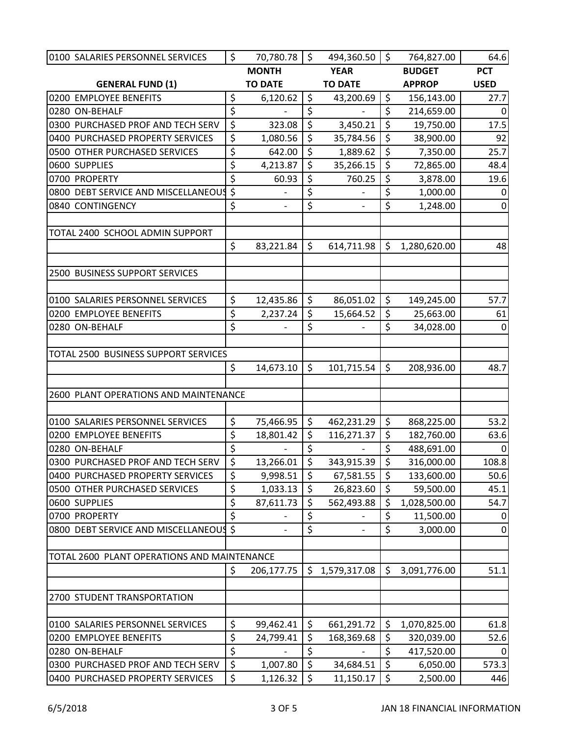| 0100 SALARIES PERSONNEL SERVICES            | \$               | 70,780.78      | \$                       | 494,360.50     | \$                      | 764,827.00    | 64.6             |
|---------------------------------------------|------------------|----------------|--------------------------|----------------|-------------------------|---------------|------------------|
|                                             |                  | <b>MONTH</b>   |                          | <b>YEAR</b>    |                         | <b>BUDGET</b> | <b>PCT</b>       |
| <b>GENERAL FUND (1)</b>                     |                  | <b>TO DATE</b> |                          | <b>TO DATE</b> |                         | <b>APPROP</b> | <b>USED</b>      |
| 0200 EMPLOYEE BENEFITS                      | \$               | 6,120.62       | \$                       | 43,200.69      | $\zeta$                 | 156,143.00    | 27.7             |
| 0280 ON-BEHALF                              | \$               |                | \$                       |                | $\overline{\xi}$        | 214,659.00    | 0                |
| 0300 PURCHASED PROF AND TECH SERV           | $\overline{\xi}$ | 323.08         | $\zeta$                  | 3,450.21       | \$                      | 19,750.00     | 17.5             |
| 0400 PURCHASED PROPERTY SERVICES            | \$               | 1,080.56       | $\zeta$                  | 35,784.56      | \$                      | 38,900.00     | 92               |
| 0500 OTHER PURCHASED SERVICES               | \$               | 642.00         | \$                       | 1,889.62       | \$                      | 7,350.00      | 25.7             |
| 0600 SUPPLIES                               | \$               | 4,213.87       | \$                       | 35,266.15      | \$                      | 72,865.00     | 48.4             |
| 0700 PROPERTY                               | \$               | 60.93          | \$                       | 760.25         | \$                      | 3,878.00      | 19.6             |
| 0800 DEBT SERVICE AND MISCELLANEOUS         | \$               |                | \$                       |                | \$                      | 1,000.00      | $\mathbf{0}$     |
| 0840 CONTINGENCY                            | $\overline{\xi}$ |                | \$                       |                | $\overline{\xi}$        | 1,248.00      | $\boldsymbol{0}$ |
|                                             |                  |                |                          |                |                         |               |                  |
| TOTAL 2400 SCHOOL ADMIN SUPPORT             |                  |                |                          |                |                         |               |                  |
|                                             | \$               | 83,221.84      | \$                       | 614,711.98     | \$                      | 1,280,620.00  | 48               |
| 2500 BUSINESS SUPPORT SERVICES              |                  |                |                          |                |                         |               |                  |
|                                             |                  |                |                          |                |                         |               |                  |
| 0100 SALARIES PERSONNEL SERVICES            | \$               | 12,435.86      | \$                       | 86,051.02      | \$                      | 149,245.00    | 57.7             |
| 0200 EMPLOYEE BENEFITS                      | \$               | 2,237.24       | \$                       | 15,664.52      | \$                      | 25,663.00     | 61               |
| 0280 ON-BEHALF                              | $\overline{\xi}$ |                | \$                       |                | $\zeta$                 | 34,028.00     | $\mathbf{0}$     |
|                                             |                  |                |                          |                |                         |               |                  |
| TOTAL 2500 BUSINESS SUPPORT SERVICES        |                  |                |                          |                |                         |               |                  |
|                                             | \$               | 14,673.10      | \$                       | 101,715.54     | \$                      | 208,936.00    | 48.7             |
|                                             |                  |                |                          |                |                         |               |                  |
| 2600 PLANT OPERATIONS AND MAINTENANCE       |                  |                |                          |                |                         |               |                  |
|                                             |                  |                |                          |                |                         |               |                  |
| 0100 SALARIES PERSONNEL SERVICES            | \$               | 75,466.95      | \$                       | 462,231.29     | \$                      | 868,225.00    | 53.2             |
| 0200 EMPLOYEE BENEFITS                      | \$               | 18,801.42      | \$                       | 116,271.37     | \$                      | 182,760.00    | 63.6             |
| 0280 ON-BEHALF                              | $\overline{\xi}$ |                | \$                       |                | \$                      | 488,691.00    | 0                |
| 0300 PURCHASED PROF AND TECH SERV           | $\overline{\xi}$ | 13,266.01      | $\overline{\mathcal{S}}$ | 343,915.39     | $\overline{\mathsf{S}}$ | 316,000.00    | 108.8            |
| 0400 PURCHASED PROPERTY SERVICES            | \$               | 9,998.51       | \$                       | 67,581.55      | \$                      | 133,600.00    | 50.6             |
| 0500 OTHER PURCHASED SERVICES               | \$               | 1,033.13       | \$                       | 26,823.60      | \$                      | 59,500.00     | 45.1             |
| 0600 SUPPLIES                               | $\overline{\xi}$ | 87,611.73      | \$                       | 562,493.88     | \$                      | 1,028,500.00  | 54.7             |
| 0700 PROPERTY                               | \$               |                | \$                       |                | \$                      | 11,500.00     | 0                |
| 0800 DEBT SERVICE AND MISCELLANEOUS         | $\zeta$          |                | \$                       |                | \$                      | 3,000.00      | $\boldsymbol{0}$ |
|                                             |                  |                |                          |                |                         |               |                  |
| TOTAL 2600 PLANT OPERATIONS AND MAINTENANCE |                  |                |                          |                |                         |               |                  |
|                                             | \$               | 206,177.75     | \$                       | 1,579,317.08   | \$                      | 3,091,776.00  | 51.1             |
| 2700 STUDENT TRANSPORTATION                 |                  |                |                          |                |                         |               |                  |
| 0100 SALARIES PERSONNEL SERVICES            | \$               | 99,462.41      | \$                       | 661,291.72     | \$                      | 1,070,825.00  | 61.8             |
| 0200 EMPLOYEE BENEFITS                      | \$               | 24,799.41      | \$                       | 168,369.68     | \$                      | 320,039.00    | 52.6             |
| 0280 ON-BEHALF                              | \$               |                | $\overline{\xi}$         |                | \$                      | 417,520.00    | $\Omega$         |
| 0300 PURCHASED PROF AND TECH SERV           | $\overline{\xi}$ | 1,007.80       | \$                       | 34,684.51      | \$                      | 6,050.00      | 573.3            |
| 0400 PURCHASED PROPERTY SERVICES            | \$               | 1,126.32       | $\zeta$                  | 11,150.17      | \$                      | 2,500.00      | 446              |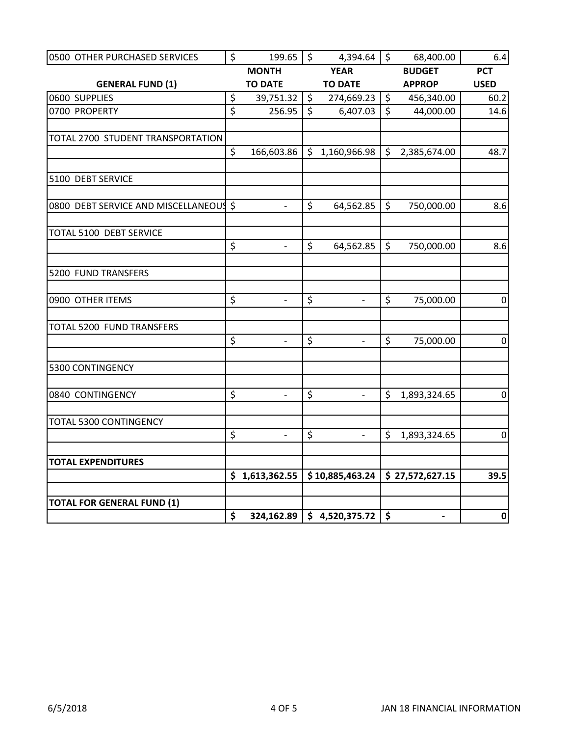| 0500 OTHER PURCHASED SERVICES          | \$                      | $199.65$ \$              |         | 4,394.64                     | \$           | 68,400.00                | 6.4         |
|----------------------------------------|-------------------------|--------------------------|---------|------------------------------|--------------|--------------------------|-------------|
|                                        |                         | <b>MONTH</b>             |         | <b>YEAR</b>                  |              | <b>BUDGET</b>            | <b>PCT</b>  |
| <b>GENERAL FUND (1)</b>                |                         | <b>TO DATE</b>           |         | <b>TO DATE</b>               |              | <b>APPROP</b>            | <b>USED</b> |
| 0600 SUPPLIES                          | \$                      | 39,751.32                | $\zeta$ | 274,669.23                   | $\zeta$      | 456,340.00               | 60.2        |
| 0700 PROPERTY                          | $\overline{\mathsf{S}}$ | 256.95                   | $\zeta$ | 6,407.03                     | $\zeta$      | 44,000.00                | 14.6        |
|                                        |                         |                          |         |                              |              |                          |             |
| TOTAL 2700 STUDENT TRANSPORTATION      |                         |                          |         |                              |              |                          |             |
|                                        | \$                      | 166,603.86               |         | \$1,160,966.98               | $\zeta$      | 2,385,674.00             | 48.7        |
| 5100 DEBT SERVICE                      |                         |                          |         |                              |              |                          |             |
| 0800 DEBT SERVICE AND MISCELLANEOUS \$ |                         | $\overline{\phantom{0}}$ | \$      | 64,562.85                    | $\zeta$      | 750,000.00               | 8.6         |
|                                        |                         |                          |         |                              |              |                          |             |
| TOTAL 5100 DEBT SERVICE                | \$                      | $\overline{\phantom{0}}$ | $\zeta$ | 64,562.85                    | $\zeta$      | 750,000.00               | 8.6         |
|                                        |                         |                          |         |                              |              |                          |             |
| 5200 FUND TRANSFERS                    |                         |                          |         |                              |              |                          |             |
| 0900 OTHER ITEMS                       | \$                      | $\frac{1}{2}$            | \$      | $\frac{1}{2}$                | \$           | 75,000.00                | $\pmb{0}$   |
| TOTAL 5200 FUND TRANSFERS              |                         |                          |         |                              |              |                          |             |
|                                        | \$                      | $\qquad \qquad -$        | \$      |                              | \$           | 75,000.00                | $\pmb{0}$   |
| 5300 CONTINGENCY                       |                         |                          |         |                              |              |                          |             |
| 0840 CONTINGENCY                       | \$                      | $\blacksquare$           | \$      | $\overline{\phantom{a}}$     | $\mathsf{S}$ | 1,893,324.65             | $\pmb{0}$   |
| TOTAL 5300 CONTINGENCY                 |                         |                          |         |                              |              |                          |             |
|                                        | \$                      |                          | \$      |                              | $\zeta$      | 1,893,324.65             | $\pmb{0}$   |
| <b>TOTAL EXPENDITURES</b>              |                         |                          |         |                              |              |                          |             |
|                                        |                         | \$1,613,362.55           |         | \$10,885,463.24              |              | \$27,572,627.15          | 39.5        |
| <b>TOTAL FOR GENERAL FUND (1)</b>      |                         |                          |         |                              |              |                          |             |
|                                        | \$                      |                          |         | $324,162.89$ \$ 4,520,375.72 | \$           | $\overline{\phantom{0}}$ | $\mathbf 0$ |